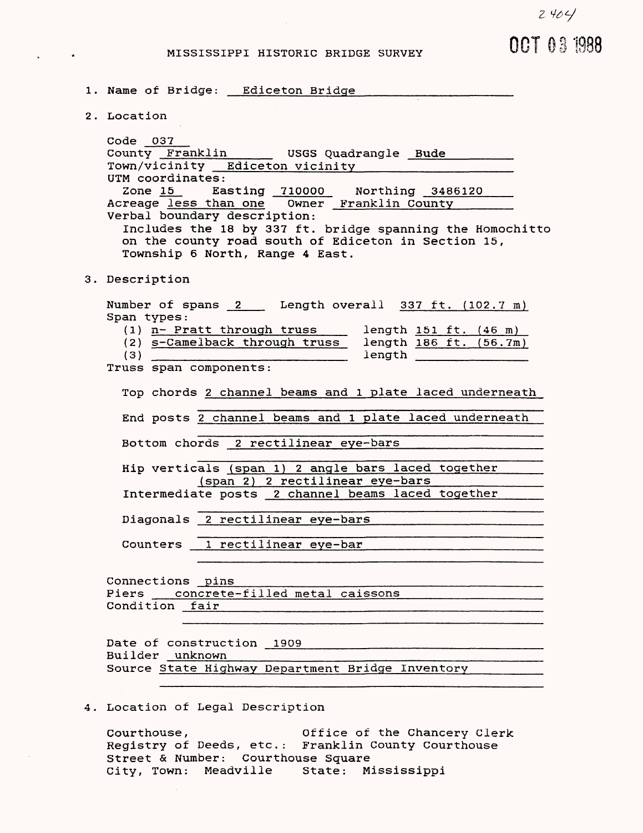**OCT 03 1988** 

1. Name of Bridge: Ediceton Bridge 2. Location Code 037 County Franklin \_\_\_\_\_\_ USGS Quadrangle Bude Town/vicinity Ediceton vicinity\_\_\_\_\_\_\_\_\_\_ UTM coordinates: Zone 15 Easting 710000 Northing 3486120 Acreage less than one Owner Franklin County Verbal boundary description: Includes the 18 by 337 ft. bridge spanning the Homochitto on the county road south of Ediceton in Section 15 , Township 6 North, Range 4 East. 3. Description Number of spans 2 Length overall 337 ft. (102.7 m) Span types: (1)  $n$ - Pratt through truss and length 151 ft. (46 m) (2) <u>s-Camelback through truss a length 186 ft. (56.7m)</u> (3) \_\_\_\_\_\_\_\_\_\_\_\_\_\_\_\_\_\_\_\_\_\_ length \_\_\_\_\_\_\_\_\_\_\_\_\_ Truss span components: Top chords 2 channel beams and 1 plate laced underneath End posts 2 channel beams and 1 plate laced underneath Bottom chords 2 rectilinear eye-bars Hip verticals (span 1) 2 angle bars laced together (span 2) 2 rectilinear eye-bars Intermediate posts 2 channel beams laced together\_\_\_\_\_\_\_\_\_\_ Diagonals 2 rectilinear eye-bars Counters 1 rectilinear eye-bar Connections pins Piers concrete-filled metal caissons Condition fair Date of construction 1909 Builder unknown Source State Highway Department Bridge Inventory 4. Location of Legal Description Courthouse, Office of the Chancery Clerk Registry of Deeds, etc.: Franklin County Courthouse Street & Number: Courthouse Square

City, Town: Meadville State: Mississippi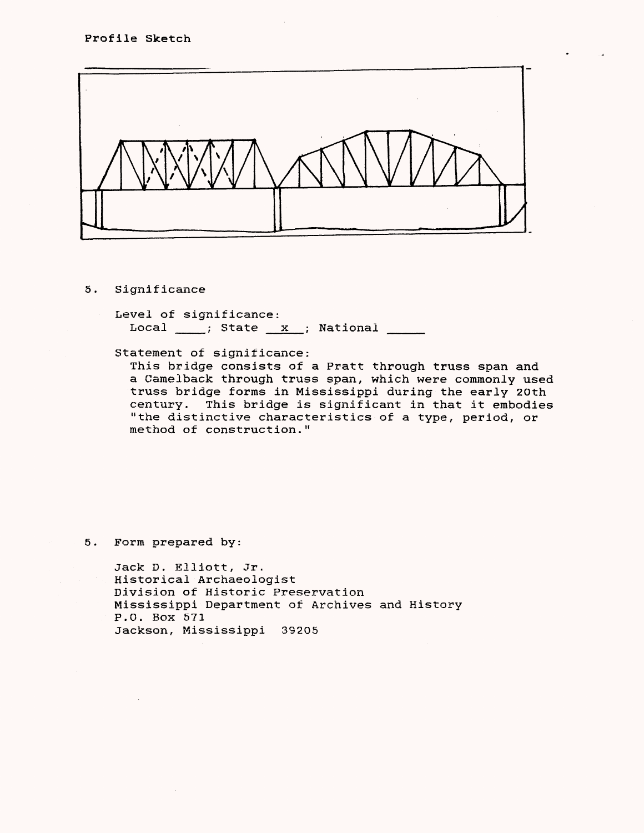

5. Significance

Level of significance:  $Local \begin{array}{c} \sim \end{array}$ ; State  $x$  ; National  $\begin{array}{c} \sim \end{array}$ 

Statement of significance:

This bridge consists of a Pratt through truss span and a Camelback through truss span, which were commonly used truss bridge forms in Mississippi during the early 20th century. This bridge is significant in that it embodies "the distinctive characteristics of a type, period, or method of construction."

5. Form prepared by:

Jack D. Elliott, Jr. Historical Archaeologist Division of Historic Preservation Mississippi Department of Archives and History P.O. Box 571 Jackson, Mississippi 39205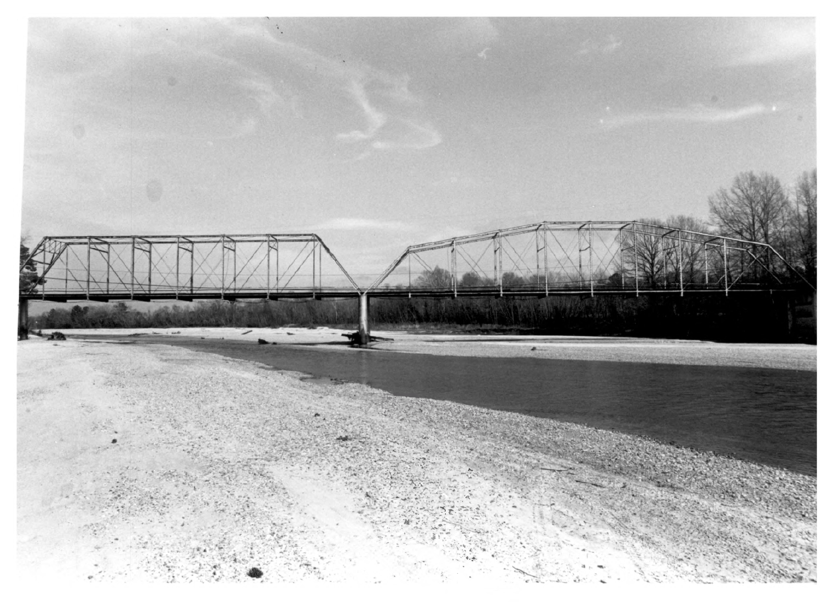